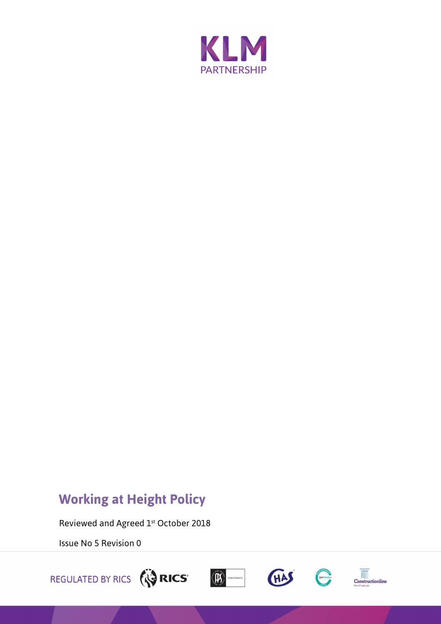

# **Working at Height Policy**

Reviewed and Agreed 1st October 2018

Issue No 5 Revision 0









 $\begin{array}{c}\n\hline\n\hline\n\hline\n\hline\n\end{array}$  Construction<br>line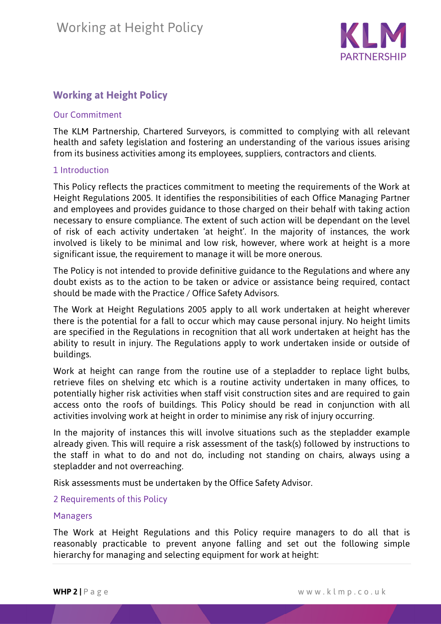

# **Working at Height Policy**

#### Our Commitment

The KLM Partnership, Chartered Surveyors, is committed to complying with all relevant health and safety legislation and fostering an understanding of the various issues arising from its business activities among its employees, suppliers, contractors and clients.

#### 1 Introduction

This Policy reflects the practices commitment to meeting the requirements of the Work at Height Regulations 2005. It identifies the responsibilities of each Office Managing Partner and employees and provides guidance to those charged on their behalf with taking action necessary to ensure compliance. The extent of such action will be dependant on the level of risk of each activity undertaken 'at height'. In the majority of instances, the work involved is likely to be minimal and low risk, however, where work at height is a more significant issue, the requirement to manage it will be more onerous.

The Policy is not intended to provide definitive guidance to the Regulations and where any doubt exists as to the action to be taken or advice or assistance being required, contact should be made with the Practice / Office Safety Advisors.

The Work at Height Regulations 2005 apply to all work undertaken at height wherever there is the potential for a fall to occur which may cause personal injury. No height limits are specified in the Regulations in recognition that all work undertaken at height has the ability to result in injury. The Regulations apply to work undertaken inside or outside of buildings.

Work at height can range from the routine use of a stepladder to replace light bulbs, retrieve files on shelving etc which is a routine activity undertaken in many offices, to potentially higher risk activities when staff visit construction sites and are required to gain access onto the roofs of buildings. This Policy should be read in conjunction with all activities involving work at height in order to minimise any risk of injury occurring.

In the majority of instances this will involve situations such as the stepladder example already given. This will require a risk assessment of the task(s) followed by instructions to the staff in what to do and not do, including not standing on chairs, always using a stepladder and not overreaching.

Risk assessments must be undertaken by the Office Safety Advisor.

2 Requirements of this Policy

#### Managers

The Work at Height Regulations and this Policy require managers to do all that is reasonably practicable to prevent anyone falling and set out the following simple hierarchy for managing and selecting equipment for work at height: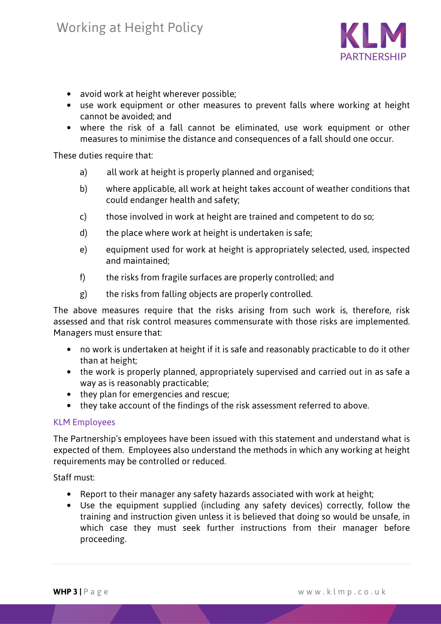

- avoid work at height wherever possible;
- use work equipment or other measures to prevent falls where working at height cannot be avoided; and
- where the risk of a fall cannot be eliminated, use work equipment or other measures to minimise the distance and consequences of a fall should one occur.

These duties require that:

- a) all work at height is properly planned and organised;
- b) where applicable, all work at height takes account of weather conditions that could endanger health and safety;
- c) those involved in work at height are trained and competent to do so;
- d) the place where work at height is undertaken is safe;
- e) equipment used for work at height is appropriately selected, used, inspected and maintained;
- f) the risks from fragile surfaces are properly controlled; and
- g) the risks from falling objects are properly controlled.

The above measures require that the risks arising from such work is, therefore, risk assessed and that risk control measures commensurate with those risks are implemented. Managers must ensure that:

- no work is undertaken at height if it is safe and reasonably practicable to do it other than at height;
- the work is properly planned, appropriately supervised and carried out in as safe a way as is reasonably practicable;
- they plan for emergencies and rescue:
- they take account of the findings of the risk assessment referred to above.

#### KLM Employees

The Partnership's employees have been issued with this statement and understand what is expected of them. Employees also understand the methods in which any working at height requirements may be controlled or reduced.

Staff must:

- Report to their manager any safety hazards associated with work at height;
- Use the equipment supplied (including any safety devices) correctly, follow the training and instruction given unless it is believed that doing so would be unsafe, in which case they must seek further instructions from their manager before proceeding.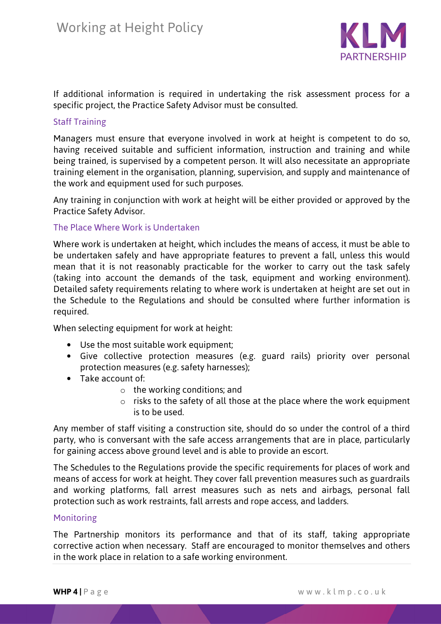

If additional information is required in undertaking the risk assessment process for a specific project, the Practice Safety Advisor must be consulted.

## Staff Training

Managers must ensure that everyone involved in work at height is competent to do so, having received suitable and sufficient information, instruction and training and while being trained, is supervised by a competent person. It will also necessitate an appropriate training element in the organisation, planning, supervision, and supply and maintenance of the work and equipment used for such purposes.

Any training in conjunction with work at height will be either provided or approved by the Practice Safety Advisor.

## The Place Where Work is Undertaken

Where work is undertaken at height, which includes the means of access, it must be able to be undertaken safely and have appropriate features to prevent a fall, unless this would mean that it is not reasonably practicable for the worker to carry out the task safely (taking into account the demands of the task, equipment and working environment). Detailed safety requirements relating to where work is undertaken at height are set out in the Schedule to the Regulations and should be consulted where further information is required.

When selecting equipment for work at height:

- Use the most suitable work equipment;
- Give collective protection measures (e.g. guard rails) priority over personal protection measures (e.g. safety harnesses);
- Take account of:
	- $\circ$  the working conditions; and
	- $\circ$  risks to the safety of all those at the place where the work equipment is to be used.

Any member of staff visiting a construction site, should do so under the control of a third party, who is conversant with the safe access arrangements that are in place, particularly for gaining access above ground level and is able to provide an escort.

The Schedules to the Regulations provide the specific requirements for places of work and means of access for work at height. They cover fall prevention measures such as guardrails and working platforms, fall arrest measures such as nets and airbags, personal fall protection such as work restraints, fall arrests and rope access, and ladders.

#### **Monitoring**

The Partnership monitors its performance and that of its staff, taking appropriate corrective action when necessary. Staff are encouraged to monitor themselves and others in the work place in relation to a safe working environment.